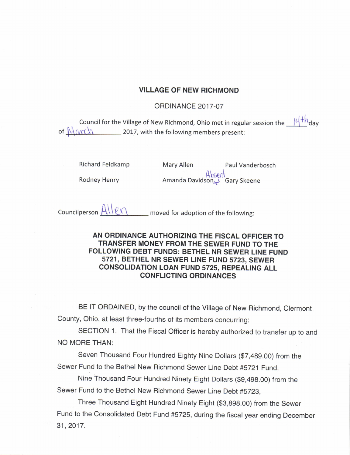## VILLAGE OF NEW RICHMOND

## **ORDINANCE 2017-07**

Council for the Village of New Richmond, Ohio met in regular session the  $14^{+h}$  dav of  $M(x;C)$  2017, with the following members present:

Richard Feldkamp Mary Allen Paul Vanderbosch

Rodney Henry **Amanda Davidson, 2**Gary Skeene

Councilperson  $\frac{A \cup \emptyset \cap \emptyset}{B}$  moved for adoption of the following:

## AN ORDINANCE AUTHORIZING THE FISCAL OFFICER TO TRANSFER MONEY FROM THE SEWER FUND TO THE FOLLOWING DEBT FUNDS: BETHEL NR SEWER LINE FUND 5721, BETHEL NR SEWER LINE FUND 5723, SEWER CONSOLIDATION LOAN FUND 5725, REPEALING ALL CONFLICTING ORDINANCES

BE IT ORDAINED, by the council of the Village of New Richmond, Clermont County, Ohio, at least three- fourths of its members concurring:

SECTION 1. That the Fiscal Officer is hereby authorized to transfer up to and NO MORE THAN:

Seven Thousand Four Hundred Eighty Nine Dollars (\$7,489.00) from the Sewer Fund to the Bethel New Richmond Sewer Line Debt #5721 Fund,

Nine Thousand Four Hundred Ninety Eight Dollars (\$9,498.00) from the Sewer Fund to the Bethel New Richmond Sewer Line Debt #5723,

Three Thousand Eight Hundred Ninety Eight (\$3,898.00) from the Sewer Fund to the Consolidated Debt Fund #5725, during the fiscal year ending December 31, 2017.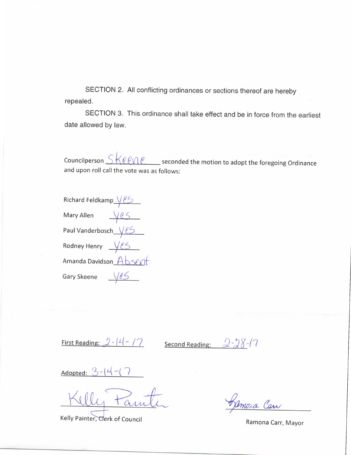SECTION 2. All conflicting ordinances or sections thereof are hereby repealed.

SECTION 3. This ordinance shall take effect and be in force from the earliest date allowed by law.

Councilperson  $SKee$   $ee$  seconded the motion to adopt the foregoing Ordinance and upon roll call the vote was as follows:

| Richard Feldkamp Ves           |     |
|--------------------------------|-----|
| <b>Mary Allen</b>              | Ves |
| Paul Vanderbosch $\sqrt{\ell}$ |     |
| Rodney Henry $\sqrt{25}$       |     |
| Amanda Davidson Absent         |     |
| <b>Gary Skeene</b>             | V e |

First Reading:  $2-14-17$  Second Reading:

 $2 - 28 - 17$ 

Adopted:  $\beta$  $-14-$ 

Kelly Painter, Clerk of Council

Moxa Can

Ramona Carr, Mayor